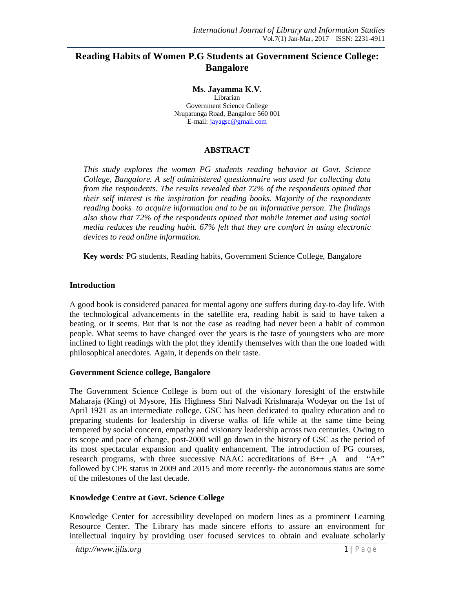# **Reading Habits of Women P.G Students at Government Science College: Bangalore**

**Ms. Jayamma K.V.**

Librarian Government Science College Nrupatunga Road, Bangalore 560 001 E-mail: jayagsc@gmail.com

## **ABSTRACT**

*This study explores the women PG students reading behavior at Govt. Science College, Bangalore. A self administered questionnaire was used for collecting data from the respondents. The results revealed that 72% of the respondents opined that their self interest is the inspiration for reading books. Majority of the respondents reading books to acquire information and to be an informative person. The findings also show that 72% of the respondents opined that mobile internet and using social media reduces the reading habit. 67% felt that they are comfort in using electronic devices to read online information.*

**Key words**: PG students, Reading habits, Government Science College, Bangalore

#### **Introduction**

A good book is considered panacea for mental agony one suffers during day-to-day life. With the technological advancements in the satellite era, reading habit is said to have taken a beating, or it seems. But that is not the case as reading had never been a habit of common people. What seems to have changed over the years is the taste of youngsters who are more inclined to light readings with the plot they identify themselves with than the one loaded with philosophical anecdotes. Again, it depends on their taste.

#### **Government Science college, Bangalore**

The Government Science College is born out of the visionary foresight of the erstwhile Maharaja (King) of Mysore, His Highness Shri Nalvadi Krishnaraja Wodeyar on the 1st of April 1921 as an intermediate college. GSC has been dedicated to quality education and to preparing students for leadership in diverse walks of life while at the same time being tempered by social concern, empathy and visionary leadership across two centuries. Owing to its scope and pace of change, post-2000 will go down in the history of GSC as the period of its most spectacular expansion and quality enhancement. The introduction of PG courses, research programs, with three successive NAAC accreditations of B++ ,A and "A+" followed by CPE status in 2009 and 2015 and more recently- the autonomous status are some of the milestones of the last decade.

#### **Knowledge Centre at Govt. Science College**

Knowledge Center for accessibility developed on modern lines as a prominent Learning Resource Center. The Library has made sincere efforts to assure an environment for intellectual inquiry by providing user focused services to obtain and evaluate scholarly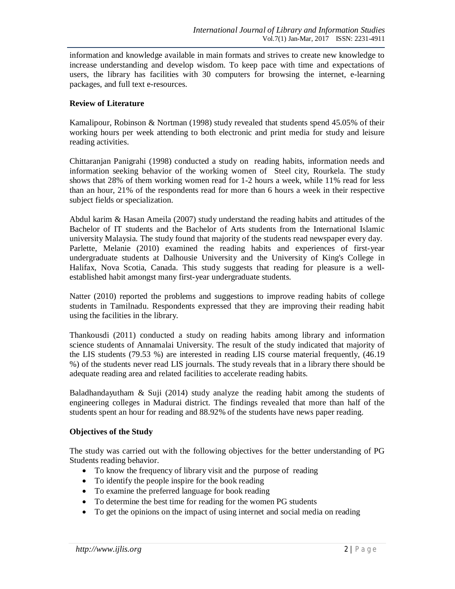information and knowledge available in main formats and strives to create new knowledge to increase understanding and develop wisdom. To keep pace with time and expectations of users, the library has facilities with 30 computers for browsing the internet, e-learning packages, and full text e-resources.

#### **Review of Literature**

Kamalipour, Robinson & Nortman (1998) study revealed that students spend 45.05% of their working hours per week attending to both electronic and print media for study and leisure reading activities.

Chittaranjan Panigrahi (1998) conducted a study on reading habits, information needs and information seeking behavior of the working women of Steel city, Rourkela. The study shows that 28% of them working women read for 1-2 hours a week, while 11% read for less than an hour, 21% of the respondents read for more than 6 hours a week in their respective subject fields or specialization.

Abdul karim & Hasan Ameila (2007) study understand the reading habits and attitudes of the Bachelor of IT students and the Bachelor of Arts students from the International Islamic university Malaysia. The study found that majority of the students read newspaper every day. Parlette, Melanie (2010) examined the reading habits and experiences of first-year undergraduate students at Dalhousie University and the University of King's College in Halifax, Nova Scotia, Canada. This study suggests that reading for pleasure is a wellestablished habit amongst many first-year undergraduate students.

Natter (2010) reported the problems and suggestions to improve reading habits of college students in Tamilnadu. Respondents expressed that they are improving their reading habit using the facilities in the library.

Thankousdi (2011) conducted a study on reading habits among library and information science students of Annamalai University. The result of the study indicated that majority of the LIS students (79.53 %) are interested in reading LIS course material frequently, (46.19 %) of the students never read LIS journals. The study reveals that in a library there should be adequate reading area and related facilities to accelerate reading habits.

Baladhandayutham  $\&$  Suji (2014) study analyze the reading habit among the students of engineering colleges in Madurai district. The findings revealed that more than half of the students spent an hour for reading and 88.92% of the students have news paper reading.

#### **Objectives of the Study**

The study was carried out with the following objectives for the better understanding of PG Students reading behavior.

- To know the frequency of library visit and the purpose of reading
- To identify the people inspire for the book reading
- To examine the preferred language for book reading
- To determine the best time for reading for the women PG students
- To get the opinions on the impact of using internet and social media on reading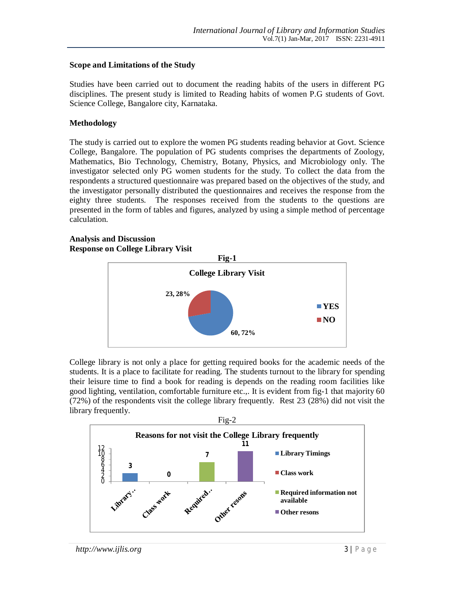#### **Scope and Limitations of the Study**

Studies have been carried out to document the reading habits of the users in different PG disciplines. The present study is limited to Reading habits of women P.G students of Govt. Science College, Bangalore city, Karnataka.

#### **Methodology**

The study is carried out to explore the women PG students reading behavior at Govt. Science College, Bangalore. The population of PG students comprises the departments of Zoology, Mathematics, Bio Technology, Chemistry, Botany, Physics, and Microbiology only. The investigator selected only PG women students for the study. To collect the data from the respondents a structured questionnaire was prepared based on the objectives of the study, and the investigator personally distributed the questionnaires and receives the response from the eighty three students. The responses received from the students to the questions are presented in the form of tables and figures, analyzed by using a simple method of percentage calculation.

#### **Analysis and Discussion Response on College Library Visit**



College library is not only a place for getting required books for the academic needs of the students. It is a place to facilitate for reading. The students turnout to the library for spending their leisure time to find a book for reading is depends on the reading room facilities like good lighting, ventilation, comfortable furniture etc.,. It is evident from fig-1 that majority 60 (72%) of the respondents visit the college library frequently. Rest 23 (28%) did not visit the library frequently.

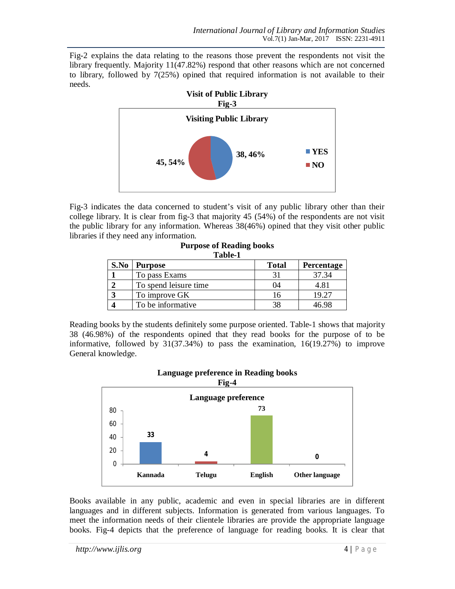Fig-2 explains the data relating to the reasons those prevent the respondents not visit the library frequently. Majority 11(47.82%) respond that other reasons which are not concerned to library, followed by 7(25%) opined that required information is not available to their needs.



Fig-3 indicates the data concerned to student's visit of any public library other than their college library. It is clear from fig-3 that majority 45 (54%) of the respondents are not visit the public library for any information. Whereas 38(46%) opined that they visit other public libraries if they need any information.

| Table-1 |                       |              |            |  |  |
|---------|-----------------------|--------------|------------|--|--|
| S.No    | <b>Purpose</b>        | <b>Total</b> | Percentage |  |  |
|         | To pass Exams         |              | 37.34      |  |  |
|         | To spend leisure time | 04           | 4.81       |  |  |
|         | To improve GK         | l6           | 19.27      |  |  |
|         | To be informative.    | 38           | IG 98      |  |  |

**Purpose of Reading books Table-1**

Reading books by the students definitely some purpose oriented. Table-1 shows that majority 38 (46.98%) of the respondents opined that they read books for the purpose of to be informative, followed by 31(37.34%) to pass the examination, 16(19.27%) to improve General knowledge.



# **Language preference in Reading books**

Books available in any public, academic and even in special libraries are in different languages and in different subjects. Information is generated from various languages. To meet the information needs of their clientele libraries are provide the appropriate language books. Fig-4 depicts that the preference of language for reading books. It is clear that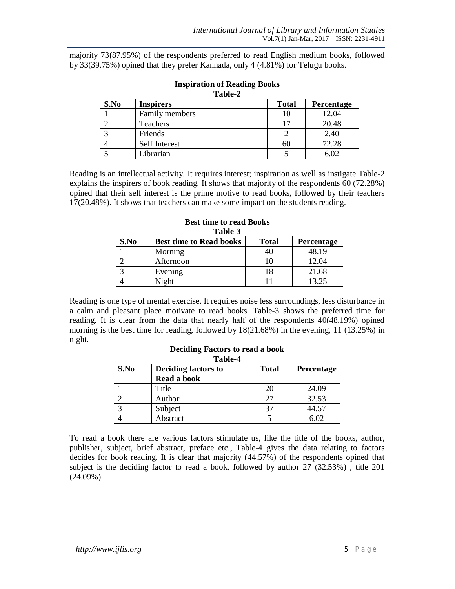majority 73(87.95%) of the respondents preferred to read English medium books, followed by 33(39.75%) opined that they prefer Kannada, only 4 (4.81%) for Telugu books.

| S.No | <b>Inspirers</b> | <b>Total</b> | Percentage |
|------|------------------|--------------|------------|
|      | Family members   | 10           | 12.04      |
|      | Teachers         | 17           | 20.48      |
|      | Friends          |              | 2.40       |
|      | Self Interest    | 60           | 72.28      |
|      | Librarian        |              | 6.02       |

#### **Inspiration of Reading Books Table-2**

Reading is an intellectual activity. It requires interest; inspiration as well as instigate Table-2 explains the inspirers of book reading. It shows that majority of the respondents 60 (72.28%) opined that their self interest is the prime motive to read books, followed by their teachers 17(20.48%). It shows that teachers can make some impact on the students reading.

| Table-3 |                                |              |                   |  |  |  |
|---------|--------------------------------|--------------|-------------------|--|--|--|
| S.No    | <b>Best time to Read books</b> | <b>Total</b> | <b>Percentage</b> |  |  |  |
|         | Morning                        |              | 48.19             |  |  |  |
|         | Afternoon                      | 10           | 12.04             |  |  |  |
|         | Evening                        | 18           | 21.68             |  |  |  |
|         | Night                          |              | 13.25             |  |  |  |

# **Best time to read Books**

Reading is one type of mental exercise. It requires noise less surroundings, less disturbance in a calm and pleasant place motivate to read books. Table-3 shows the preferred time for reading. It is clear from the data that nearly half of the respondents 40(48.19%) opined morning is the best time for reading, followed by 18(21.68%) in the evening, 11 (13.25%) in night.

| Table-4 |                     |              |            |  |  |
|---------|---------------------|--------------|------------|--|--|
| S.No    | Deciding factors to | <b>Total</b> | Percentage |  |  |
|         | Read a book         |              |            |  |  |
|         | Title               | 20           | 24.09      |  |  |
|         | Author              |              | 32.53      |  |  |
|         | Subject             |              | 44.57      |  |  |
|         | Abstract            |              | 5.02       |  |  |

# **Deciding Factors to read a book**

To read a book there are various factors stimulate us, like the title of the books, author, publisher, subject, brief abstract, preface etc., Table-4 gives the data relating to factors decides for book reading. It is clear that majority (44.57%) of the respondents opined that subject is the deciding factor to read a book, followed by author 27 (32.53%) , title 201  $(24.09\%)$ .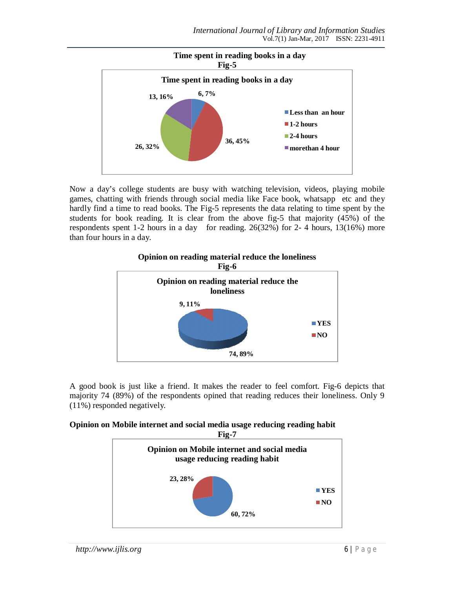

Now a day's college students are busy with watching television, videos, playing mobile games, chatting with friends through social media like Face book, whatsapp etc and they hardly find a time to read books. The Fig-5 represents the data relating to time spent by the students for book reading. It is clear from the above fig-5 that majority (45%) of the respondents spent 1-2 hours in a day for reading. 26(32%) for 2- 4 hours, 13(16%) more than four hours in a day.



A good book is just like a friend. It makes the reader to feel comfort. Fig-6 depicts that majority 74 (89%) of the respondents opined that reading reduces their loneliness. Only 9 (11%) responded negatively.

#### **Opinion on Mobile internet and social media usage reducing reading habit**

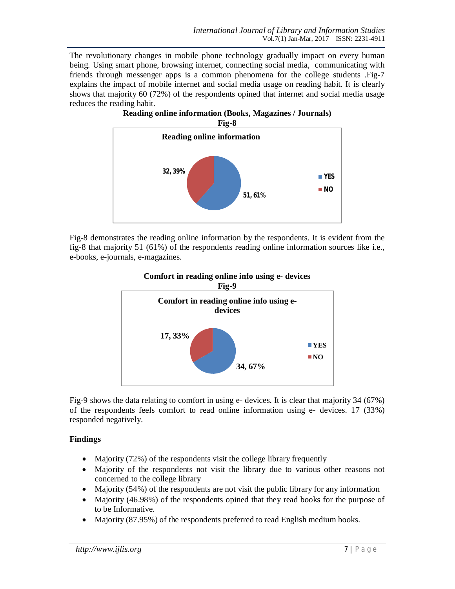The revolutionary changes in mobile phone technology gradually impact on every human being. Using smart phone, browsing internet, connecting social media, communicating with friends through messenger apps is a common phenomena for the college students .Fig-7 explains the impact of mobile internet and social media usage on reading habit. It is clearly shows that majority 60 (72%) of the respondents opined that internet and social media usage reduces the reading habit.





Fig-8 demonstrates the reading online information by the respondents. It is evident from the fig-8 that majority 51 (61%) of the respondents reading online information sources like i.e., e-books, e-journals, e-magazines.



# **Comfort in reading online info using e- devices**

Fig-9 shows the data relating to comfort in using e- devices. It is clear that majority 34 (67%) of the respondents feels comfort to read online information using e- devices. 17 (33%) responded negatively.

# **Findings**

- Majority (72%) of the respondents visit the college library frequently
- Majority of the respondents not visit the library due to various other reasons not concerned to the college library
- Majority (54%) of the respondents are not visit the public library for any information
- Majority (46.98%) of the respondents opined that they read books for the purpose of to be Informative.
- Majority (87.95%) of the respondents preferred to read English medium books.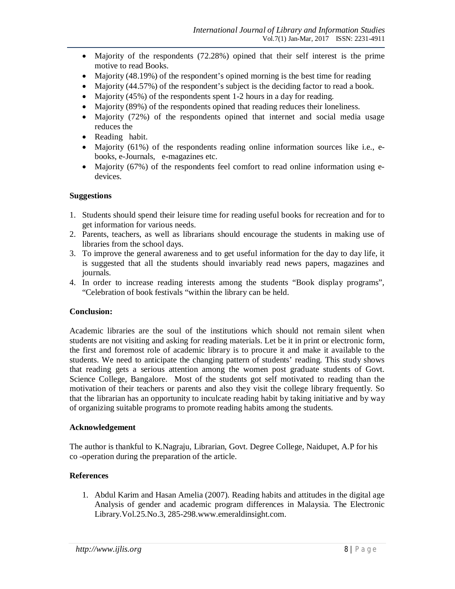- Majority of the respondents (72.28%) opined that their self interest is the prime motive to read Books.
- Majority (48.19%) of the respondent's opined morning is the best time for reading
- Majority (44.57%) of the respondent's subject is the deciding factor to read a book.
- Majority (45%) of the respondents spent 1-2 hours in a day for reading.
- Majority (89%) of the respondents opined that reading reduces their loneliness.
- Majority (72%) of the respondents opined that internet and social media usage reduces the
- Reading habit.
- Majority (61%) of the respondents reading online information sources like i.e., ebooks, e-Journals, e-magazines etc.
- Majority (67%) of the respondents feel comfort to read online information using edevices.

## **Suggestions**

- 1. Students should spend their leisure time for reading useful books for recreation and for to get information for various needs.
- 2. Parents, teachers, as well as librarians should encourage the students in making use of libraries from the school days.
- 3. To improve the general awareness and to get useful information for the day to day life, it is suggested that all the students should invariably read news papers, magazines and journals.
- 4. In order to increase reading interests among the students "Book display programs", "Celebration of book festivals "within the library can be held.

#### **Conclusion:**

Academic libraries are the soul of the institutions which should not remain silent when students are not visiting and asking for reading materials. Let be it in print or electronic form, the first and foremost role of academic library is to procure it and make it available to the students. We need to anticipate the changing pattern of students' reading. This study shows that reading gets a serious attention among the women post graduate students of Govt. Science College, Bangalore. Most of the students got self motivated to reading than the motivation of their teachers or parents and also they visit the college library frequently. So that the librarian has an opportunity to inculcate reading habit by taking initiative and by way of organizing suitable programs to promote reading habits among the students.

#### **Acknowledgement**

The author is thankful to K.Nagraju, Librarian, Govt. Degree College, Naidupet, A.P for his co -operation during the preparation of the article.

# **References**

1. Abdul Karim and Hasan Amelia (2007). Reading habits and attitudes in the digital age Analysis of gender and academic program differences in Malaysia. The Electronic Library.Vol.25.No.3, 285-298.www.emeraldinsight.com.